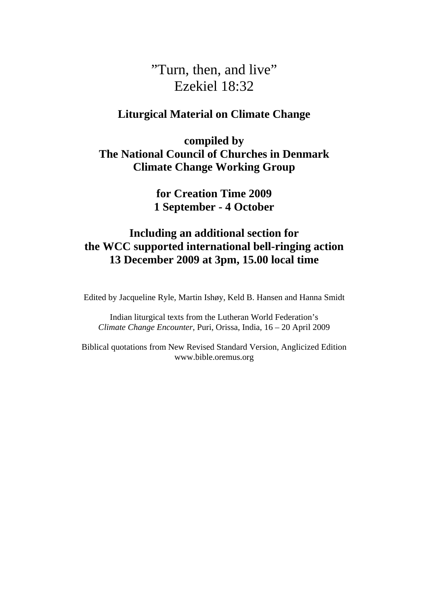# "Turn, then, and live" Ezekiel 18:32

## **Liturgical Material on Climate Change**

**compiled by The National Council of Churches in Denmark Climate Change Working Group** 

> **for Creation Time 2009 1 September - 4 October**

# **Including an additional section for the WCC supported international bell-ringing action 13 December 2009 at 3pm, 15.00 local time**

Edited by Jacqueline Ryle, Martin Ishøy, Keld B. Hansen and Hanna Smidt

Indian liturgical texts from the Lutheran World Federation's *Climate Change Encounter*, Puri, Orissa, India, 16 – 20 April 2009

Biblical quotations from New Revised Standard Version, Anglicized Edition www.bible.oremus.org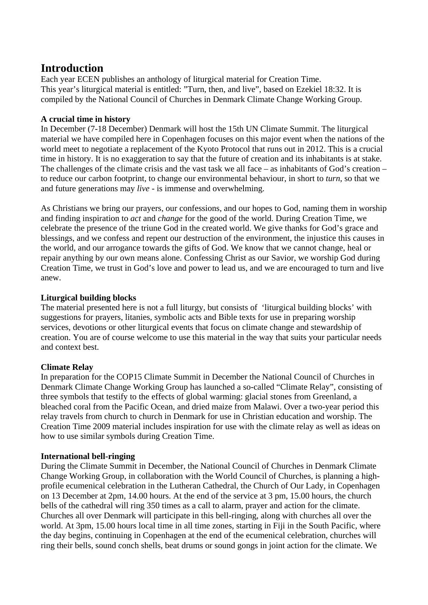# **Introduction**

Each year ECEN publishes an anthology of liturgical material for Creation Time. This year's liturgical material is entitled: "Turn, then, and live", based on Ezekiel 18:32. It is compiled by the National Council of Churches in Denmark Climate Change Working Group.

#### **A crucial time in history**

In December (7-18 December) Denmark will host the 15th UN Climate Summit. The liturgical material we have compiled here in Copenhagen focuses on this major event when the nations of the world meet to negotiate a replacement of the Kyoto Protocol that runs out in 2012. This is a crucial time in history. It is no exaggeration to say that the future of creation and its inhabitants is at stake. The challenges of the climate crisis and the vast task we all face – as inhabitants of God's creation – to reduce our carbon footprint, to change our environmental behaviour, in short to *turn*, so that we and future generations may *live* - is immense and overwhelming.

As Christians we bring our prayers, our confessions, and our hopes to God, naming them in worship and finding inspiration to *act* and *change* for the good of the world. During Creation Time, we celebrate the presence of the triune God in the created world. We give thanks for God's grace and blessings, and we confess and repent our destruction of the environment, the injustice this causes in the world, and our arrogance towards the gifts of God. We know that we cannot change, heal or repair anything by our own means alone. Confessing Christ as our Savior, we worship God during Creation Time, we trust in God's love and power to lead us, and we are encouraged to turn and live anew.

#### **Liturgical building blocks**

The material presented here is not a full liturgy, but consists of 'liturgical building blocks' with suggestions for prayers, litanies, symbolic acts and Bible texts for use in preparing worship services, devotions or other liturgical events that focus on climate change and stewardship of creation. You are of course welcome to use this material in the way that suits your particular needs and context best.

#### **Climate Relay**

In preparation for the COP15 Climate Summit in December the National Council of Churches in Denmark Climate Change Working Group has launched a so-called "Climate Relay", consisting of three symbols that testify to the effects of global warming: glacial stones from Greenland, a bleached coral from the Pacific Ocean, and dried maize from Malawi. Over a two-year period this relay travels from church to church in Denmark for use in Christian education and worship. The Creation Time 2009 material includes inspiration for use with the climate relay as well as ideas on how to use similar symbols during Creation Time.

#### **International bell-ringing**

During the Climate Summit in December, the National Council of Churches in Denmark Climate Change Working Group, in collaboration with the World Council of Churches, is planning a highprofile ecumenical celebration in the Lutheran Cathedral, the Church of Our Lady, in Copenhagen on 13 December at 2pm, 14.00 hours. At the end of the service at 3 pm, 15.00 hours, the church bells of the cathedral will ring 350 times as a call to alarm, prayer and action for the climate. Churches all over Denmark will participate in this bell-ringing, along with churches all over the world. At 3pm, 15.00 hours local time in all time zones, starting in Fiji in the South Pacific, where the day begins, continuing in Copenhagen at the end of the ecumenical celebration, churches will ring their bells, sound conch shells, beat drums or sound gongs in joint action for the climate. We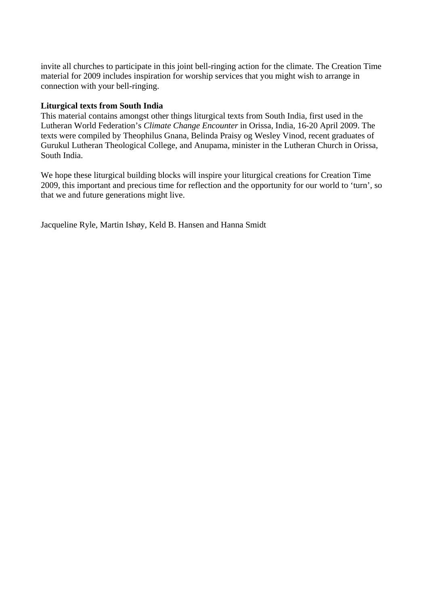invite all churches to participate in this joint bell-ringing action for the climate. The Creation Time material for 2009 includes inspiration for worship services that you might wish to arrange in connection with your bell-ringing.

#### **Liturgical texts from South India**

This material contains amongst other things liturgical texts from South India, first used in the Lutheran World Federation's *Climate Change Encounter* in Orissa, India, 16-20 April 2009. The texts were compiled by Theophilus Gnana, Belinda Praisy og Wesley Vinod, recent graduates of Gurukul Lutheran Theological College, and Anupama, minister in the Lutheran Church in Orissa, South India.

We hope these liturgical building blocks will inspire your liturgical creations for Creation Time 2009, this important and precious time for reflection and the opportunity for our world to 'turn', so that we and future generations might live.

Jacqueline Ryle, Martin Ishøy, Keld B. Hansen and Hanna Smidt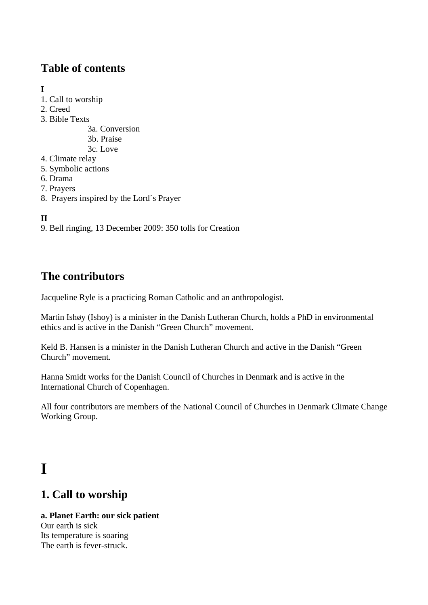# **Table of contents**

### **I**

- 1. Call to worship
- 2. Creed
- 3. Bible Texts
	- 3a. Conversion
	- 3b. Praise
	- 3c. Love
- 4. Climate relay
- 5. Symbolic actions
- 6. Drama
- 7. Prayers
- 8. Prayers inspired by the Lord´s Prayer

# **II**

9. Bell ringing, 13 December 2009: 350 tolls for Creation

# **The contributors**

Jacqueline Ryle is a practicing Roman Catholic and an anthropologist.

Martin Ishøy (Ishoy) is a minister in the Danish Lutheran Church, holds a PhD in environmental ethics and is active in the Danish "Green Church" movement.

Keld B. Hansen is a minister in the Danish Lutheran Church and active in the Danish "Green" Church" movement.

Hanna Smidt works for the Danish Council of Churches in Denmark and is active in the International Church of Copenhagen.

All four contributors are members of the National Council of Churches in Denmark Climate Change Working Group.

# **I**

# **1. Call to worship**

#### **a. Planet Earth: our sick patient**  Our earth is sick Its temperature is soaring The earth is fever-struck.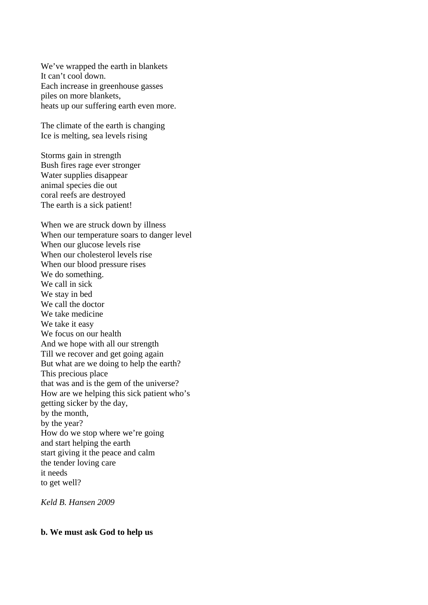We've wrapped the earth in blankets It can't cool down. Each increase in greenhouse gasses piles on more blankets, heats up our suffering earth even more.

The climate of the earth is changing Ice is melting, sea levels rising

Storms gain in strength Bush fires rage ever stronger Water supplies disappear animal species die out coral reefs are destroyed The earth is a sick patient!

When we are struck down by illness When our temperature soars to danger level When our glucose levels rise When our cholesterol levels rise When our blood pressure rises We do something. We call in sick We stay in bed We call the doctor We take medicine We take it easy We focus on our health And we hope with all our strength Till we recover and get going again But what are we doing to help the earth? This precious place that was and is the gem of the universe? How are we helping this sick patient who's getting sicker by the day, by the month, by the year? How do we stop where we're going and start helping the earth start giving it the peace and calm the tender loving care it needs to get well?

*Keld B. Hansen 2009* 

#### **b. We must ask God to help us**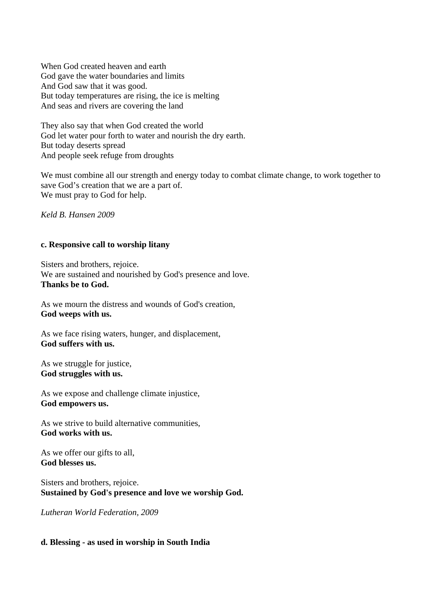When God created heaven and earth God gave the water boundaries and limits And God saw that it was good. But today temperatures are rising, the ice is melting And seas and rivers are covering the land

They also say that when God created the world God let water pour forth to water and nourish the dry earth. But today deserts spread And people seek refuge from droughts

We must combine all our strength and energy today to combat climate change, to work together to save God's creation that we are a part of. We must pray to God for help.

*Keld B. Hansen 2009* 

#### **c. Responsive call to worship litany**

Sisters and brothers, rejoice. We are sustained and nourished by God's presence and love. **Thanks be to God.**

As we mourn the distress and wounds of God's creation, **God weeps with us.** 

As we face rising waters, hunger, and displacement, **God suffers with us.** 

As we struggle for justice, **God struggles with us.**

As we expose and challenge climate injustice, **God empowers us.**

As we strive to build alternative communities, **God works with us.**

As we offer our gifts to all, **God blesses us.**

Sisters and brothers, rejoice. **Sustained by God's presence and love we worship God.** 

*Lutheran World Federation, 2009* 

#### **d. Blessing - as used in worship in South India**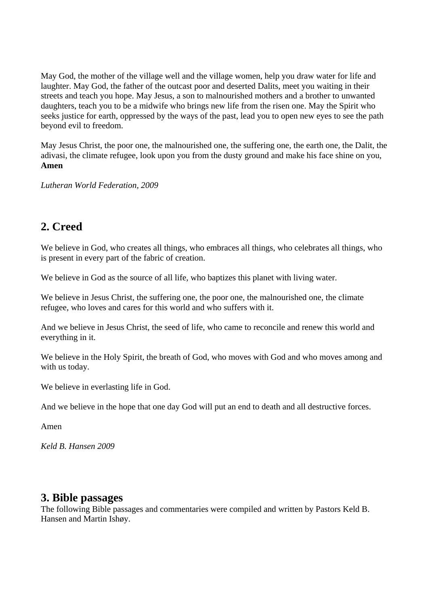May God, the mother of the village well and the village women, help you draw water for life and laughter. May God, the father of the outcast poor and deserted Dalits, meet you waiting in their streets and teach you hope. May Jesus, a son to malnourished mothers and a brother to unwanted daughters, teach you to be a midwife who brings new life from the risen one. May the Spirit who seeks justice for earth, oppressed by the ways of the past, lead you to open new eyes to see the path beyond evil to freedom.

May Jesus Christ, the poor one, the malnourished one, the suffering one, the earth one, the Dalit, the adivasi, the climate refugee, look upon you from the dusty ground and make his face shine on you, **Amen**

*Lutheran World Federation, 2009* 

# **2. Creed**

We believe in God, who creates all things, who embraces all things, who celebrates all things, who is present in every part of the fabric of creation.

We believe in God as the source of all life, who baptizes this planet with living water.

We believe in Jesus Christ, the suffering one, the poor one, the malnourished one, the climate refugee, who loves and cares for this world and who suffers with it.

And we believe in Jesus Christ, the seed of life, who came to reconcile and renew this world and everything in it.

We believe in the Holy Spirit, the breath of God, who moves with God and who moves among and with us today.

We believe in everlasting life in God.

And we believe in the hope that one day God will put an end to death and all destructive forces.

Amen

*Keld B. Hansen 2009* 

### **3. Bible passages**

The following Bible passages and commentaries were compiled and written by Pastors Keld B. Hansen and Martin Ishøy.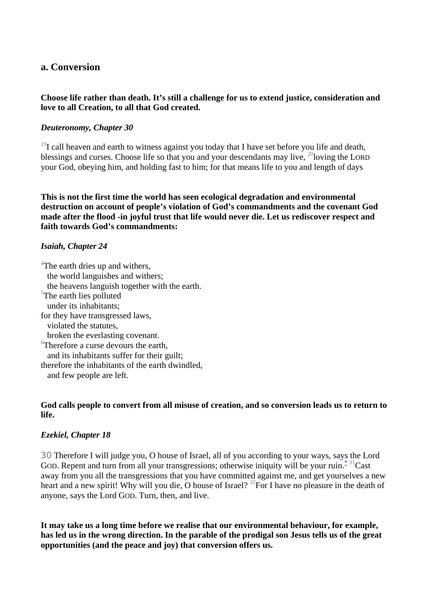#### **a. Conversion**

#### **Choose life rather than death. It's still a challenge for us to extend justice, consideration and love to all Creation, to all that God created.**

#### *Deuteronomy, Chapter 30*

 $19I$  call heaven and earth to witness against you today that I have set before you life and death, blessings and curses. Choose life so that you and your descendants may live,  $^{20}$ loving the LORD your God, obeying him, and holding fast to him; for that means life to you and length of days

**This is not the first time the world has seen ecological degradation and environmental destruction on account of people's violation of God's commandments and the covenant God made after the flood -in joyful trust that life would never die. Let us rediscover respect and faith towards God's commandments:** 

#### *Isaiah, Chapter 24*

<sup>4</sup>The earth dries up and withers, the world languishes and withers; the heavens languish together with the earth. <sup>5</sup>The earth lies polluted under its inhabitants; for they have transgressed laws, violated the statutes, broken the everlasting covenant. 6 Therefore a curse devours the earth, and its inhabitants suffer for their guilt; therefore the inhabitants of the earth dwindled, and few people are left.

#### **God calls people to convert from all misuse of creation, and so conversion leads us to return to life.**

#### *Ezekiel, Chapter 18*

30 Therefore I will judge you, O house of Israel, all of you according to your ways, says the Lord GOD. Repent and turn from all your transgressions; otherwise iniquity will be your ruin.<sup> $*$ 31</sup>Cast away from you all the transgressions that you have committed against me, and get yourselves a new heart and a new spirit! Why will you die, O house of Israel? <sup>32</sup>For I have no pleasure in the death of anyone, says the Lord GOD. Turn, then, and live.

**It may take us a long time before we realise that our environmental behaviour, for example, has led us in the wrong direction. In the parable of the prodigal son Jesus tells us of the great opportunities (and the peace and joy) that conversion offers us.**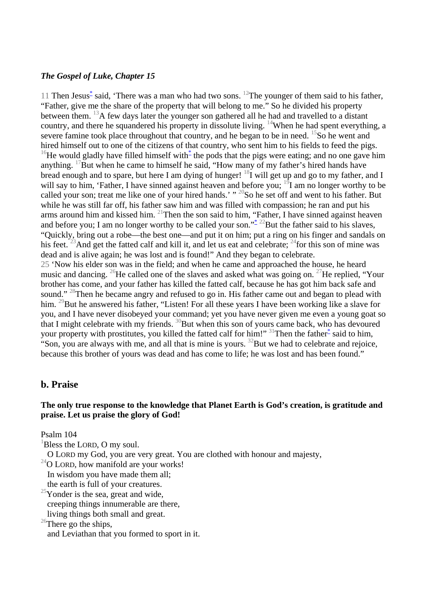#### *The Gospel of Luke, Chapter 15*

11 Then Jesus<sup>[\\*](javascript:void(0);)</sup> said, 'There was a man who had two sons. <sup>12</sup>The younger of them said to his father, "Father, give me the share of the property that will belong to me." So he divided his property between them. <sup>13</sup>A few days later the younger son gathered all he had and travelled to a distant country, and there he squandered his property in dissolute living. <sup>14</sup>When he had spent everything, a severe famine took place throughout that country, and he began to be in need. <sup>15</sup>So he went and hired himself out to one of the citizens of that country, who sent him to his fields to feed the pigs. <sup>16</sup>He would gladly have filled himself with  $*$  the pods that the pigs were eating; and no one gave him anything. <sup>17</sup>But when he came to himself he said, "How many of my father's hired hands have bread enough and to spare, but here I am dying of hunger!  $^{18}I$  will get up and go to my father, and I will say to him, 'Father, I have sinned against heaven and before you;  $^{19}$ I am no longer worthy to be called your son; treat me like one of your hired hands.' "<sup>20</sup>So he set off and went to his father. But while he was still far off, his father saw him and was filled with compassion; he ran and put his arms around him and kissed him.  $^{21}$ Then the son said to him, "Father, I have sinned against heaven and before you; I am no longer worthy to be called your son."<sup>[\\*](javascript:void(0);)</sup> <sup>22</sup>But the father said to his slaves, "Quickly, bring out a robe—the best one—and put it on him; put a ring on his finger and sandals on his feet. <sup>23</sup>And get the fatted calf and kill it, and let us eat and celebrate;  $^{24}$  for this son of mine was dead and is alive again; he was lost and is found!" And they began to celebrate. 25 'Now his elder son was in the field; and when he came and approached the house, he heard music and dancing. <sup>26</sup>He called one of the slaves and asked what was going on. <sup>27</sup>He replied, "Your brother has come, and your father has killed the fatted calf, because he has got him back safe and sound."<sup>28</sup>Then he became angry and refused to go in. His father came out and began to plead with him. <sup>29</sup>But he answered his father, "Listen! For all these years I have been working like a slave for you, and I have never disobeyed your command; yet you have never given me even a young goat so that I might celebrate with my friends.  $\frac{30}{8}$ But when this son of yours came back, who has devoured your property with prostitutes, you killed the fatted calf for him!" <sup>31</sup>Then the father<sup>\*</sup> said to him,

"Son, you are always with me, and all that is mine is yours.  $^{32}$ But we had to celebrate and rejoice, because this brother of yours was dead and has come to life; he was lost and has been found."

#### **b. Praise**

#### **The only true response to the knowledge that Planet Earth is God's creation, is gratitude and praise. Let us praise the glory of God!**

Psalm 104

 ${}^{1}$ Bless the LORD, O my soul.

O LORD my God, you are very great. You are clothed with honour and majesty,

 $^{24}$ O LORD, how manifold are your works!

In wisdom you have made them all;

the earth is full of your creatures.

 $25$ Yonder is the sea, great and wide, creeping things innumerable are there, living things both small and great.

 $26$ There go the ships,

and Leviathan that you formed to sport in it.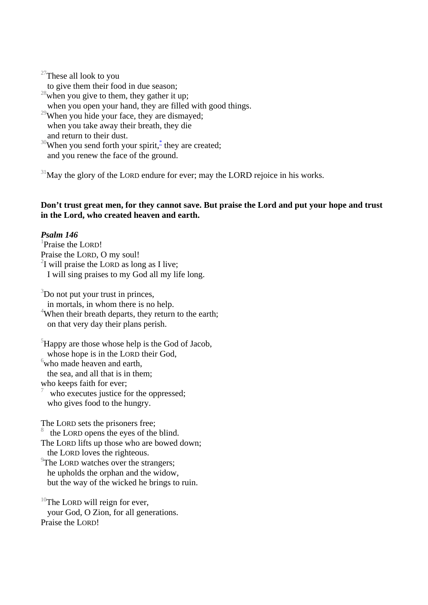$27$ These all look to you to give them their food in due season;  $28$  when you give to them, they gather it up; when you open your hand, they are filled with good things. <sup>29</sup>When you hide your face, they are dismayed; when you take away their breath, they die and return to their dust. <sup>30</sup>When you send forth your spirit,  $*$  they are created; and you renew the face of the ground.

 $31$ May the glory of the LORD endure for ever; may the LORD rejoice in his works.

#### **Don't trust great men, for they cannot save. But praise the Lord and put your hope and trust in the Lord, who created heaven and earth.**

#### *Psalm 146*

<sup>1</sup>Praise the LORD! Praise the LORD, O my soul!  $2I$  will praise the LORD as long as I live; I will sing praises to my God all my life long.

 $3$ Do not put your trust in princes,

 in mortals, in whom there is no help. <sup>4</sup>When their breath departs, they return to the earth; on that very day their plans perish.

 ${}^{5}$ Happy are those whose help is the God of Jacob, whose hope is in the LORD their God,  $6$  who made heaven and earth,

the sea, and all that is in them;

who keeps faith for ever;

7 who executes justice for the oppressed; who gives food to the hungry.

The LORD sets the prisoners free;

8 the LORD opens the eyes of the blind.

The LORD lifts up those who are bowed down; the LORD loves the righteous.

<sup>9</sup>The LORD watches over the strangers; he upholds the orphan and the widow, but the way of the wicked he brings to ruin.

 $10$ The LORD will reign for ever, your God, O Zion, for all generations. Praise the LORD!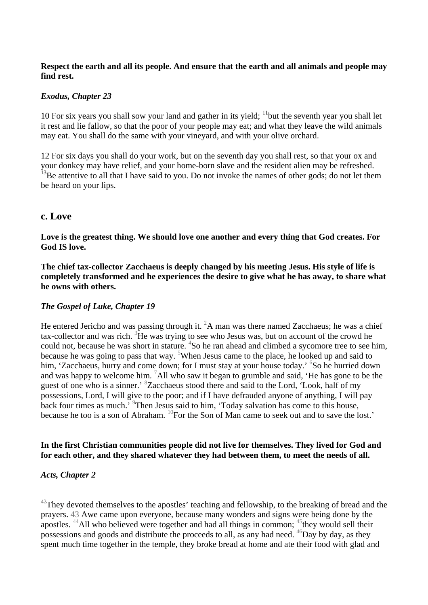#### **Respect the earth and all its people. And ensure that the earth and all animals and people may find rest.**

#### *Exodus, Chapter 23*

10 For six years you shall sow your land and gather in its yield;  $\frac{11}{10}$  but the seventh year you shall let it rest and lie fallow, so that the poor of your people may eat; and what they leave the wild animals may eat. You shall do the same with your vineyard, and with your olive orchard.

12 For six days you shall do your work, but on the seventh day you shall rest, so that your ox and your donkey may have relief, and your home-born slave and the resident alien may be refreshed. <sup>13</sup>Be attentive to all that I have said to you. Do not invoke the names of other gods; do not let them be heard on your lips.

#### **c. Love**

**Love is the greatest thing. We should love one another and every thing that God creates. For God IS love.** 

**The chief tax-collector Zacchaeus is deeply changed by his meeting Jesus. His style of life is completely transformed and he experiences the desire to give what he has away, to share what he owns with others.** 

#### *The Gospel of Luke, Chapter 19*

He entered Jericho and was passing through it.  ${}^{2}A$  man was there named Zacchaeus; he was a chief tax-collector and was rich. <sup>3</sup>He was trying to see who Jesus was, but on account of the crowd he could not, because he was short in stature. <sup>4</sup>So he ran ahead and climbed a sycomore tree to see him, because he was going to pass that way. <sup>5</sup>When Jesus came to the place, he looked up and said to him, 'Zacchaeus, hurry and come down; for I must stay at your house today.' <sup>6</sup>So he hurried down and was happy to welcome him.  $\frac{7}{1}$ All who saw it began to grumble and said, 'He has gone to be the guest of one who is a sinner.' <sup>8</sup>Zacchaeus stood there and said to the Lord, 'Look, half of my possessions, Lord, I will give to the poor; and if I have defrauded anyone of anything, I will pay back four times as much.<sup>79</sup>Then Jesus said to him, 'Today salvation has come to this house, because he too is a son of Abraham.  ${}^{10}$ For the Son of Man came to seek out and to save the lost.'

#### **In the first Christian communities people did not live for themselves. They lived for God and for each other, and they shared whatever they had between them, to meet the needs of all.**

#### *Acts, Chapter 2*

 $42$ They devoted themselves to the apostles' teaching and fellowship, to the breaking of bread and the prayers. 43 Awe came upon everyone, because many wonders and signs were being done by the apostles.  $44$ All who believed were together and had all things in common;  $45$  they would sell their possessions and goods and distribute the proceeds to all, as any had need. <sup>46</sup>Day by day, as they spent much time together in the temple, they broke bread at home and ate their food with glad and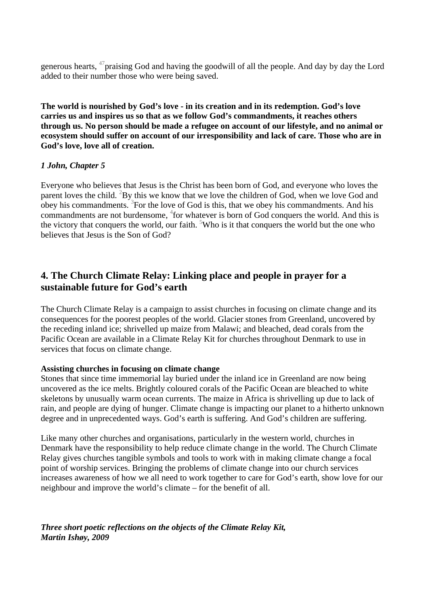generous hearts,  $47$  praising God and having the goodwill of all the people. And day by day the Lord added to their number those who were being saved.

**The world is nourished by God's love - in its creation and in its redemption. God's love carries us and inspires us so that as we follow God's commandments, it reaches others through us. No person should be made a refugee on account of our lifestyle, and no animal or ecosystem should suffer on account of our irresponsibility and lack of care. Those who are in God's love, love all of creation.** 

#### *1 John, Chapter 5*

Everyone who believes that Jesus is the Christ has been born of God, and everyone who loves the parent loves the child. <sup>2</sup>By this we know that we love the children of God, when we love God and obey his commandments. <sup>3</sup> For the love of God is this, that we obey his commandments. And his commandments are not burdensome,  $4$  for whatever is born of God conquers the world. And this is the victory that conquers the world, our faith. <sup>5</sup>Who is it that conquers the world but the one who believes that Jesus is the Son of God?

### **4. The Church Climate Relay: Linking place and people in prayer for a sustainable future for God's earth**

The Church Climate Relay is a campaign to assist churches in focusing on climate change and its consequences for the poorest peoples of the world. Glacier stones from Greenland, uncovered by the receding inland ice; shrivelled up maize from Malawi; and bleached, dead corals from the Pacific Ocean are available in a Climate Relay Kit for churches throughout Denmark to use in services that focus on climate change.

#### **Assisting churches in focusing on climate change**

Stones that since time immemorial lay buried under the inland ice in Greenland are now being uncovered as the ice melts. Brightly coloured corals of the Pacific Ocean are bleached to white skeletons by unusually warm ocean currents. The maize in Africa is shrivelling up due to lack of rain, and people are dying of hunger. Climate change is impacting our planet to a hitherto unknown degree and in unprecedented ways. God's earth is suffering. And God's children are suffering.

Like many other churches and organisations, particularly in the western world, churches in Denmark have the responsibility to help reduce climate change in the world. The Church Climate Relay gives churches tangible symbols and tools to work with in making climate change a focal point of worship services. Bringing the problems of climate change into our church services increases awareness of how we all need to work together to care for God's earth, show love for our neighbour and improve the world's climate – for the benefit of all.

*Three short poetic reflections on the objects of the Climate Relay Kit, Martin Ishøy, 2009*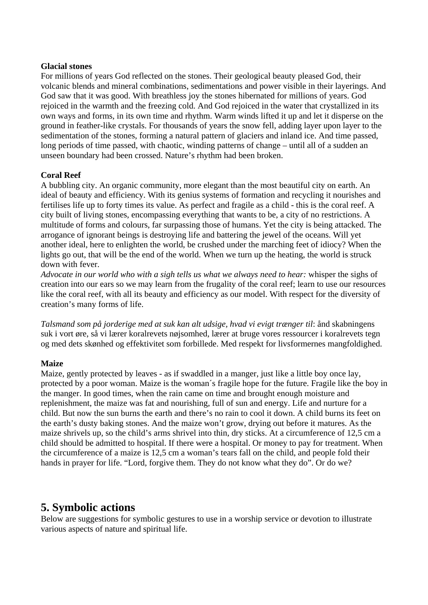#### **Glacial stones**

For millions of years God reflected on the stones. Their geological beauty pleased God, their volcanic blends and mineral combinations, sedimentations and power visible in their layerings. And God saw that it was good. With breathless joy the stones hibernated for millions of years. God rejoiced in the warmth and the freezing cold. And God rejoiced in the water that crystallized in its own ways and forms, in its own time and rhythm. Warm winds lifted it up and let it disperse on the ground in feather-like crystals. For thousands of years the snow fell, adding layer upon layer to the sedimentation of the stones, forming a natural pattern of glaciers and inland ice. And time passed, long periods of time passed, with chaotic, winding patterns of change – until all of a sudden an unseen boundary had been crossed. Nature's rhythm had been broken.

#### **Coral Reef**

A bubbling city. An organic community, more elegant than the most beautiful city on earth. An ideal of beauty and efficiency. With its genius systems of formation and recycling it nourishes and fertilises life up to forty times its value. As perfect and fragile as a child - this is the coral reef. A city built of living stones, encompassing everything that wants to be, a city of no restrictions. A multitude of forms and colours, far surpassing those of humans. Yet the city is being attacked. The arrogance of ignorant beings is destroying life and battering the jewel of the oceans. Will yet another ideal, here to enlighten the world, be crushed under the marching feet of idiocy? When the lights go out, that will be the end of the world. When we turn up the heating, the world is struck down with fever.

*Advocate in our world who with a sigh tells us what we always need to hear:* whisper the sighs of creation into our ears so we may learn from the frugality of the coral reef; learn to use our resources like the coral reef, with all its beauty and efficiency as our model. With respect for the diversity of creation's many forms of life.

*Talsmand som på jorderige med at suk kan alt udsige, hvad vi evigt trænger til*: ånd skabningens suk i vort øre, så vi lærer koralrevets nøjsomhed, lærer at bruge vores ressourcer i koralrevets tegn og med dets skønhed og effektivitet som forbillede. Med respekt for livsformernes mangfoldighed.

#### **Maize**

Maize, gently protected by leaves - as if swaddled in a manger, just like a little boy once lay, protected by a poor woman. Maize is the woman´s fragile hope for the future. Fragile like the boy in the manger. In good times, when the rain came on time and brought enough moisture and replenishment, the maize was fat and nourishing, full of sun and energy. Life and nurture for a child. But now the sun burns the earth and there's no rain to cool it down. A child burns its feet on the earth's dusty baking stones. And the maize won't grow, drying out before it matures. As the maize shrivels up, so the child's arms shrivel into thin, dry sticks. At a circumference of 12,5 cm a child should be admitted to hospital. If there were a hospital. Or money to pay for treatment. When the circumference of a maize is 12,5 cm a woman's tears fall on the child, and people fold their hands in prayer for life. "Lord, forgive them. They do not know what they do". Or do we?

# **5. Symbolic actions**

Below are suggestions for symbolic gestures to use in a worship service or devotion to illustrate various aspects of nature and spiritual life.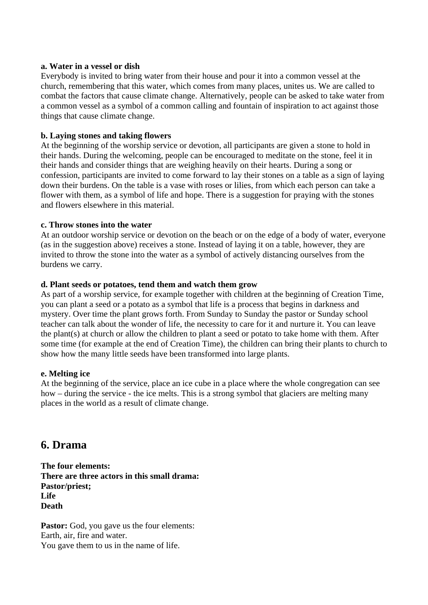#### **a. Water in a vessel or dish**

Everybody is invited to bring water from their house and pour it into a common vessel at the church, remembering that this water, which comes from many places, unites us. We are called to combat the factors that cause climate change. Alternatively, people can be asked to take water from a common vessel as a symbol of a common calling and fountain of inspiration to act against those things that cause climate change.

#### **b. Laying stones and taking flowers**

At the beginning of the worship service or devotion, all participants are given a stone to hold in their hands. During the welcoming, people can be encouraged to meditate on the stone, feel it in their hands and consider things that are weighing heavily on their hearts. During a song or confession, participants are invited to come forward to lay their stones on a table as a sign of laying down their burdens. On the table is a vase with roses or lilies, from which each person can take a flower with them, as a symbol of life and hope. There is a suggestion for praying with the stones and flowers elsewhere in this material.

#### **c. Throw stones into the water**

At an outdoor worship service or devotion on the beach or on the edge of a body of water, everyone (as in the suggestion above) receives a stone. Instead of laying it on a table, however, they are invited to throw the stone into the water as a symbol of actively distancing ourselves from the burdens we carry.

#### **d. Plant seeds or potatoes, tend them and watch them grow**

As part of a worship service, for example together with children at the beginning of Creation Time, you can plant a seed or a potato as a symbol that life is a process that begins in darkness and mystery. Over time the plant grows forth. From Sunday to Sunday the pastor or Sunday school teacher can talk about the wonder of life, the necessity to care for it and nurture it. You can leave the plant(s) at church or allow the children to plant a seed or potato to take home with them. After some time (for example at the end of Creation Time), the children can bring their plants to church to show how the many little seeds have been transformed into large plants.

#### **e. Melting ice**

At the beginning of the service, place an ice cube in a place where the whole congregation can see how – during the service - the ice melts. This is a strong symbol that glaciers are melting many places in the world as a result of climate change.

## **6. Drama**

**The four elements: There are three actors in this small drama: Pastor/priest; Life Death** 

**Pastor:** God, you gave us the four elements: Earth, air, fire and water. You gave them to us in the name of life.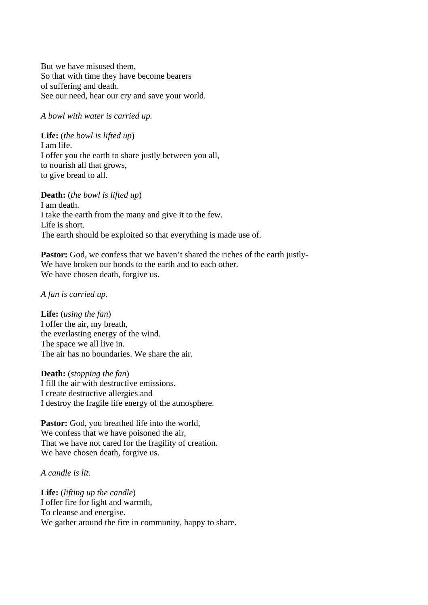But we have misused them, So that with time they have become bearers of suffering and death. See our need, hear our cry and save your world.

*A bowl with water is carried up.*

**Life:** (*the bowl is lifted up*) I am life. I offer you the earth to share justly between you all, to nourish all that grows, to give bread to all.

#### **Death:** (*the bowl is lifted up*)

I am death. I take the earth from the many and give it to the few. Life is short. The earth should be exploited so that everything is made use of.

**Pastor:** God, we confess that we haven't shared the riches of the earth justly-We have broken our bonds to the earth and to each other. We have chosen death, forgive us.

#### *A fan is carried up.*

**Life:** (*using the fan*) I offer the air, my breath, the everlasting energy of the wind. The space we all live in. The air has no boundaries. We share the air.

**Death:** (*stopping the fan*) I fill the air with destructive emissions. I create destructive allergies and I destroy the fragile life energy of the atmosphere.

Pastor: God, you breathed life into the world, We confess that we have poisoned the air, That we have not cared for the fragility of creation. We have chosen death, forgive us.

*A candle is lit.* 

**Life:** (*lifting up the candle*) I offer fire for light and warmth, To cleanse and energise. We gather around the fire in community, happy to share.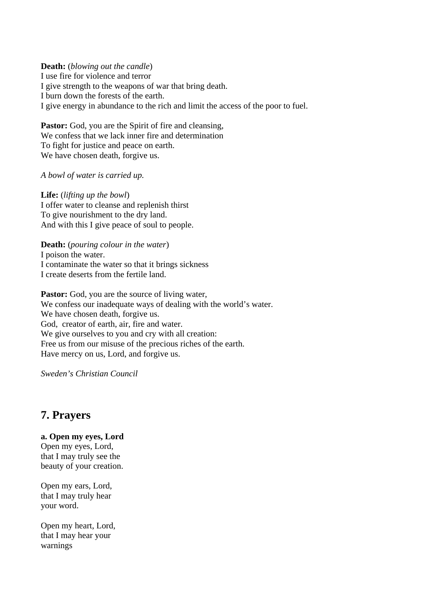**Death:** (*blowing out the candle*) I use fire for violence and terror I give strength to the weapons of war that bring death. I burn down the forests of the earth. I give energy in abundance to the rich and limit the access of the poor to fuel.

Pastor: God, you are the Spirit of fire and cleansing, We confess that we lack inner fire and determination To fight for justice and peace on earth. We have chosen death, forgive us.

*A bowl of water is carried up.*

**Life:** (*lifting up the bowl*) I offer water to cleanse and replenish thirst To give nourishment to the dry land. And with this I give peace of soul to people.

**Death:** (*pouring colour in the water*) I poison the water. I contaminate the water so that it brings sickness I create deserts from the fertile land.

**Pastor:** God, you are the source of living water, We confess our inadequate ways of dealing with the world's water. We have chosen death, forgive us. God, creator of earth, air, fire and water. We give ourselves to you and cry with all creation: Free us from our misuse of the precious riches of the earth. Have mercy on us, Lord, and forgive us.

*Sweden's Christian Council*

# **7. Prayers**

**a. Open my eyes, Lord** 

Open my eyes, Lord, that I may truly see the beauty of your creation.

Open my ears, Lord, that I may truly hear your word.

Open my heart, Lord, that I may hear your warnings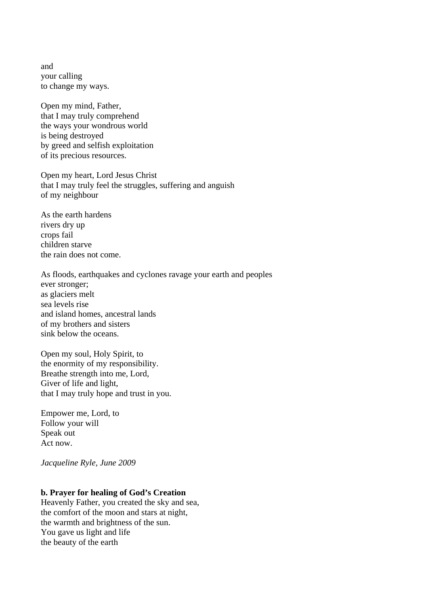and your calling to change my ways.

Open my mind, Father, that I may truly comprehend the ways your wondrous world is being destroyed by greed and selfish exploitation of its precious resources.

Open my heart, Lord Jesus Christ that I may truly feel the struggles, suffering and anguish of my neighbour

As the earth hardens rivers dry up crops fail children starve the rain does not come.

As floods, earthquakes and cyclones ravage your earth and peoples ever stronger; as glaciers melt sea levels rise and island homes, ancestral lands of my brothers and sisters sink below the oceans.

Open my soul, Holy Spirit, to the enormity of my responsibility. Breathe strength into me, Lord, Giver of life and light, that I may truly hope and trust in you.

Empower me, Lord, to Follow your will Speak out Act now.

*Jacqueline Ryle, June 2009* 

#### **b. Prayer for healing of God's Creation**

Heavenly Father, you created the sky and sea, the comfort of the moon and stars at night, the warmth and brightness of the sun. You gave us light and life the beauty of the earth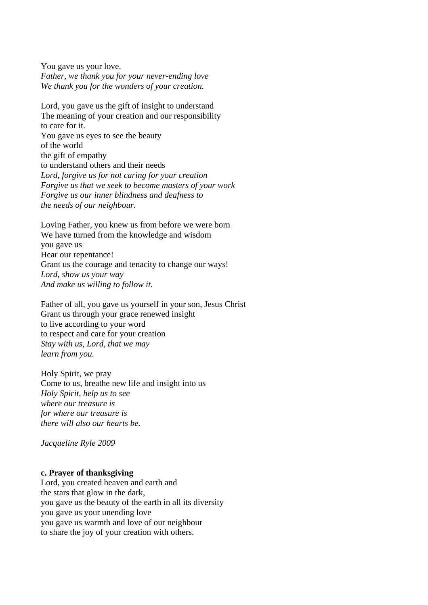You gave us your love. *Father, we thank you for your never-ending love We thank you for the wonders of your creation.* 

Lord, you gave us the gift of insight to understand The meaning of your creation and our responsibility to care for it. You gave us eyes to see the beauty of the world the gift of empathy to understand others and their needs *Lord, forgive us for not caring for your creation Forgive us that we seek to become masters of your work Forgive us our inner blindness and deafness to the needs of our neighbour.* 

Loving Father, you knew us from before we were born We have turned from the knowledge and wisdom you gave us Hear our repentance! Grant us the courage and tenacity to change our ways! *Lord, show us your way And make us willing to follow it.* 

Father of all, you gave us yourself in your son, Jesus Christ Grant us through your grace renewed insight to live according to your word to respect and care for your creation *Stay with us, Lord, that we may learn from you.* 

Holy Spirit, we pray Come to us, breathe new life and insight into us *Holy Spirit, help us to see where our treasure is for where our treasure is there will also our hearts be.* 

*Jacqueline Ryle 2009* 

#### **c. Prayer of thanksgiving**

Lord, you created heaven and earth and the stars that glow in the dark, you gave us the beauty of the earth in all its diversity you gave us your unending love you gave us warmth and love of our neighbour to share the joy of your creation with others.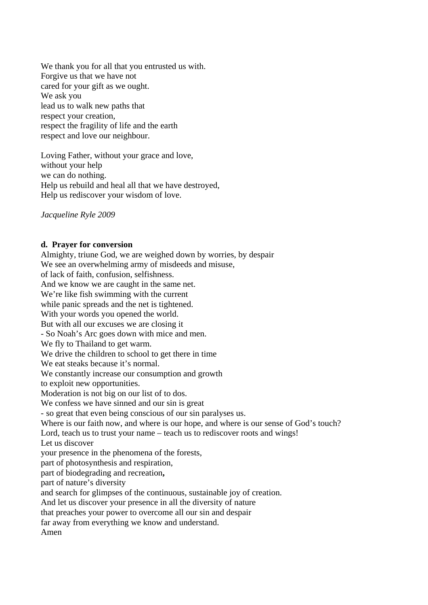We thank you for all that you entrusted us with. Forgive us that we have not cared for your gift as we ought. We ask you lead us to walk new paths that respect your creation, respect the fragility of life and the earth respect and love our neighbour.

Loving Father, without your grace and love, without your help we can do nothing. Help us rebuild and heal all that we have destroyed, Help us rediscover your wisdom of love.

*Jacqueline Ryle 2009*

#### **d. Prayer for conversion**

Almighty, triune God, we are weighed down by worries, by despair We see an overwhelming army of misdeeds and misuse, of lack of faith, confusion, selfishness. And we know we are caught in the same net. We're like fish swimming with the current while panic spreads and the net is tightened. With your words you opened the world. But with all our excuses we are closing it - So Noah's Arc goes down with mice and men. We fly to Thailand to get warm. We drive the children to school to get there in time We eat steaks because it's normal. We constantly increase our consumption and growth to exploit new opportunities. Moderation is not big on our list of to dos. We confess we have sinned and our sin is great - so great that even being conscious of our sin paralyses us. Where is our faith now, and where is our hope, and where is our sense of God's touch? Lord, teach us to trust your name – teach us to rediscover roots and wings! Let us discover your presence in the phenomena of the forests, part of photosynthesis and respiration, part of biodegrading and recreation**,**  part of nature's diversity and search for glimpses of the continuous, sustainable joy of creation. And let us discover your presence in all the diversity of nature that preaches your power to overcome all our sin and despair far away from everything we know and understand. Amen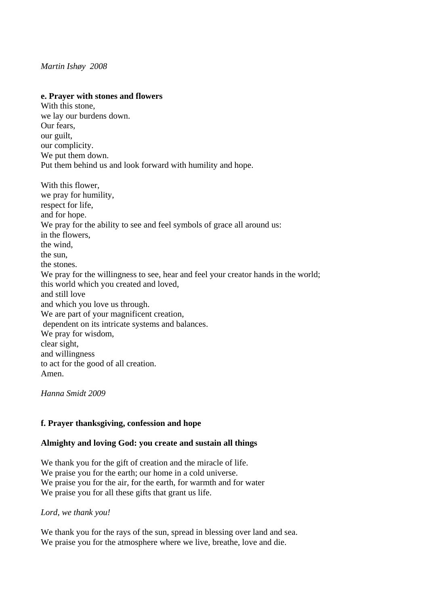#### *Martin Ishøy 2008*

#### **e. Prayer with stones and flowers**

With this stone, we lay our burdens down. Our fears, our guilt, our complicity. We put them down. Put them behind us and look forward with humility and hope. With this flower, we pray for humility, respect for life, and for hope. We pray for the ability to see and feel symbols of grace all around us: in the flowers, the wind, the sun, the stones. We pray for the willingness to see, hear and feel your creator hands in the world; this world which you created and loved, and still love and which you love us through. We are part of your magnificent creation, dependent on its intricate systems and balances. We pray for wisdom, clear sight, and willingness to act for the good of all creation. Amen.

*Hanna Smidt 2009*

#### **f. Prayer thanksgiving, confession and hope**

#### **Almighty and loving God: you create and sustain all things**

We thank you for the gift of creation and the miracle of life. We praise you for the earth; our home in a cold universe. We praise you for the air, for the earth, for warmth and for water We praise you for all these gifts that grant us life.

*Lord, we thank you!* 

We thank you for the rays of the sun, spread in blessing over land and sea. We praise you for the atmosphere where we live, breathe, love and die.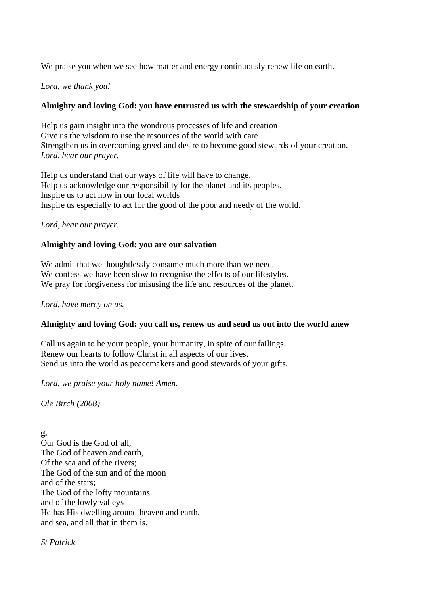We praise you when we see how matter and energy continuously renew life on earth.

#### *Lord, we thank you!*

#### **Almighty and loving God: you have entrusted us with the stewardship of your creation**

Help us gain insight into the wondrous processes of life and creation Give us the wisdom to use the resources of the world with care Strengthen us in overcoming greed and desire to become good stewards of your creation. *Lord, hear our prayer.* 

Help us understand that our ways of life will have to change. Help us acknowledge our responsibility for the planet and its peoples. Inspire us to act now in our local worlds Inspire us especially to act for the good of the poor and needy of the world.

#### *Lord, hear our prayer.*

#### **Almighty and loving God: you are our salvation**

We admit that we thoughtlessly consume much more than we need. We confess we have been slow to recognise the effects of our lifestyles. We pray for forgiveness for misusing the life and resources of the planet.

*Lord, have mercy on us.* 

#### **Almighty and loving God: you call us, renew us and send us out into the world anew**

Call us again to be your people, your humanity, in spite of our failings. Renew our hearts to follow Christ in all aspects of our lives. Send us into the world as peacemakers and good stewards of your gifts.

*Lord, we praise your holy name! Amen.* 

*Ole Birch (2008)* 

**g.**  Our God is the God of all, The God of heaven and earth, Of the sea and of the rivers; The God of the sun and of the moon and of the stars; The God of the lofty mountains and of the lowly valleys He has His dwelling around heaven and earth, and sea, and all that in them is.

*St Patrick*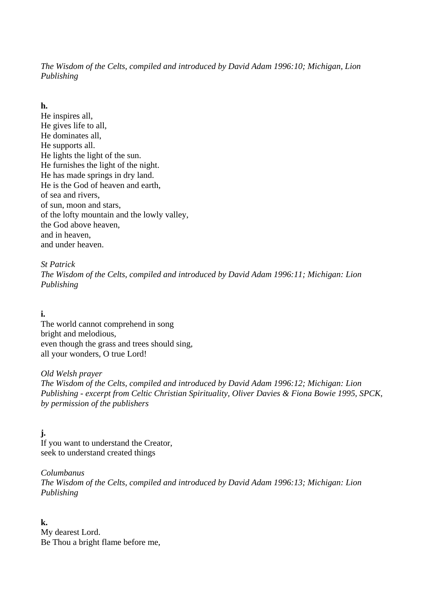*The Wisdom of the Celts, compiled and introduced by David Adam 1996:10; Michigan, Lion Publishing* 

#### **h.**

He inspires all, He gives life to all, He dominates all, He supports all. He lights the light of the sun. He furnishes the light of the night. He has made springs in dry land. He is the God of heaven and earth, of sea and rivers, of sun, moon and stars, of the lofty mountain and the lowly valley, the God above heaven, and in heaven, and under heaven.

#### *St Patrick The Wisdom of the Celts, compiled and introduced by David Adam 1996:11; Michigan: Lion Publishing*

### **i.**

The world cannot comprehend in song bright and melodious, even though the grass and trees should sing, all your wonders, O true Lord!

*Old Welsh prayer The Wisdom of the Celts, compiled and introduced by David Adam 1996:12; Michigan: Lion Publishing - excerpt from Celtic Christian Spirituality, Oliver Davies & Fiona Bowie 1995, SPCK, by permission of the publishers* 

**j.**  If you want to understand the Creator, seek to understand created things

*Columbanus The Wisdom of the Celts, compiled and introduced by David Adam 1996:13; Michigan: Lion Publishing* 

**k.**  My dearest Lord. Be Thou a bright flame before me,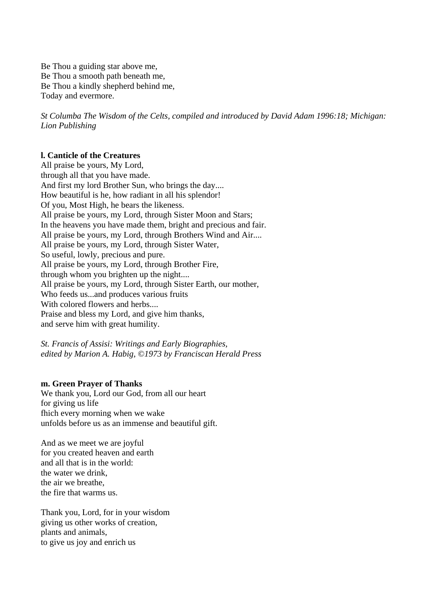Be Thou a guiding star above me, Be Thou a smooth path beneath me, Be Thou a kindly shepherd behind me, Today and evermore.

*St Columba The Wisdom of the Celts, compiled and introduced by David Adam 1996:18; Michigan: Lion Publishing*

#### **l. [Canticle of the Creatures](http://www.americancatholic.org/Messenger/Oct2007/Feature1.asp#top)**

All praise be yours, My Lord, through all that you have made. And first my lord Brother Sun, who brings the day.... How beautiful is he, how radiant in all his splendor! Of you, Most High, he bears the likeness. All praise be yours, my Lord, through Sister Moon and Stars; In the heavens you have made them, bright and precious and fair. All praise be yours, my Lord, through Brothers Wind and Air.... All praise be yours, my Lord, through Sister Water, So useful, lowly, precious and pure. All praise be yours, my Lord, through Brother Fire, through whom you brighten up the night.... All praise be yours, my Lord, through Sister Earth, our mother, Who feeds us...and produces various fruits With colored flowers and herbs.... Praise and bless my Lord, and give him thanks, and serve him with great humility.

*St. Francis of Assisi: Writings and Early Biographies, edited by Marion A. Habig, ©1973 by Franciscan Herald Press*

#### **m. Green Prayer of Thanks**

We thank you, Lord our God, from all our heart for giving us life fhich every morning when we wake unfolds before us as an immense and beautiful gift.

And as we meet we are joyful for you created heaven and earth and all that is in the world: the water we drink, the air we breathe, the fire that warms us.

Thank you, Lord, for in your wisdom giving us other works of creation, plants and animals, to give us joy and enrich us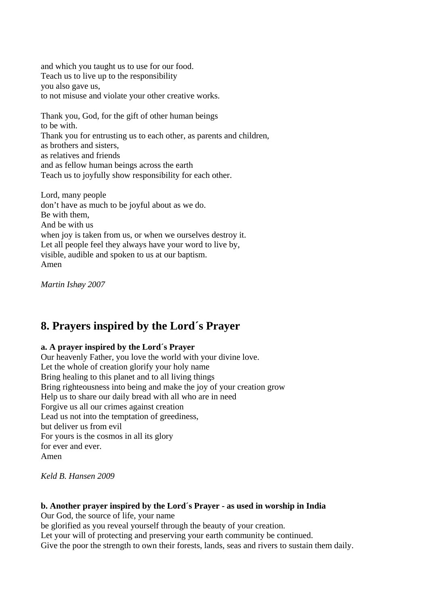and which you taught us to use for our food. Teach us to live up to the responsibility you also gave us, to not misuse and violate your other creative works.

Thank you, God, for the gift of other human beings to be with. Thank you for entrusting us to each other, as parents and children, as brothers and sisters, as relatives and friends and as fellow human beings across the earth Teach us to joyfully show responsibility for each other.

Lord, many people don't have as much to be joyful about as we do. Be with them, And be with us when joy is taken from us, or when we ourselves destroy it. Let all people feel they always have your word to live by, visible, audible and spoken to us at our baptism. Amen

*Martin Ishøy 2007* 

# **8. Prayers inspired by the Lord´s Prayer**

#### **a. A prayer inspired by the Lord´s Prayer**

Our heavenly Father, you love the world with your divine love. Let the whole of creation glorify your holy name Bring healing to this planet and to all living things Bring righteousness into being and make the joy of your creation grow Help us to share our daily bread with all who are in need Forgive us all our crimes against creation Lead us not into the temptation of greediness, but deliver us from evil For yours is the cosmos in all its glory for ever and ever. Amen

*Keld B. Hansen 2009*

#### **b. Another prayer inspired by the Lord´s Prayer - as used in worship in India**

Our God, the source of life, your name

be glorified as you reveal yourself through the beauty of your creation.

Let your will of protecting and preserving your earth community be continued.

Give the poor the strength to own their forests, lands, seas and rivers to sustain them daily.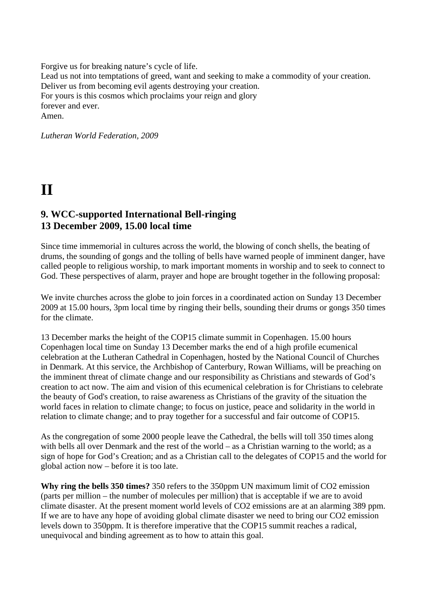Forgive us for breaking nature's cycle of life. Lead us not into temptations of greed, want and seeking to make a commodity of your creation. Deliver us from becoming evil agents destroying your creation. For yours is this cosmos which proclaims your reign and glory forever and ever. Amen.

*Lutheran World Federation, 2009*

# **II**

### **9. WCC-supported International Bell-ringing 13 December 2009, 15.00 local time**

Since time immemorial in cultures across the world, the blowing of conch shells, the beating of drums, the sounding of gongs and the tolling of bells have warned people of imminent danger, have called people to religious worship, to mark important moments in worship and to seek to connect to God. These perspectives of alarm, prayer and hope are brought together in the following proposal:

We invite churches across the globe to join forces in a coordinated action on Sunday 13 December 2009 at 15.00 hours, 3pm local time by ringing their bells, sounding their drums or gongs 350 times for the climate.

13 December marks the height of the COP15 climate summit in Copenhagen. 15.00 hours Copenhagen local time on Sunday 13 December marks the end of a high profile ecumenical celebration at the Lutheran Cathedral in Copenhagen, hosted by the National Council of Churches in Denmark. At this service, the Archbishop of Canterbury, Rowan Williams, will be preaching on the imminent threat of climate change and our responsibility as Christians and stewards of God's creation to act now. The aim and vision of this ecumenical celebration is for Christians to celebrate the beauty of God's creation, to raise awareness as Christians of the gravity of the situation the world faces in relation to climate change; to focus on justice, peace and solidarity in the world in relation to climate change; and to pray together for a successful and fair outcome of COP15.

As the congregation of some 2000 people leave the Cathedral, the bells will toll 350 times along with bells all over Denmark and the rest of the world – as a Christian warning to the world; as a sign of hope for God's Creation; and as a Christian call to the delegates of COP15 and the world for global action now – before it is too late.

**Why ring the bells 350 times?** 350 refers to the 350ppm UN maximum limit of CO2 emission (parts per million – the number of molecules per million) that is acceptable if we are to avoid climate disaster. At the present moment world levels of CO2 emissions are at an alarming 389 ppm. If we are to have any hope of avoiding global climate disaster we need to bring our CO2 emission levels down to 350ppm. It is therefore imperative that the COP15 summit reaches a radical, unequivocal and binding agreement as to how to attain this goal.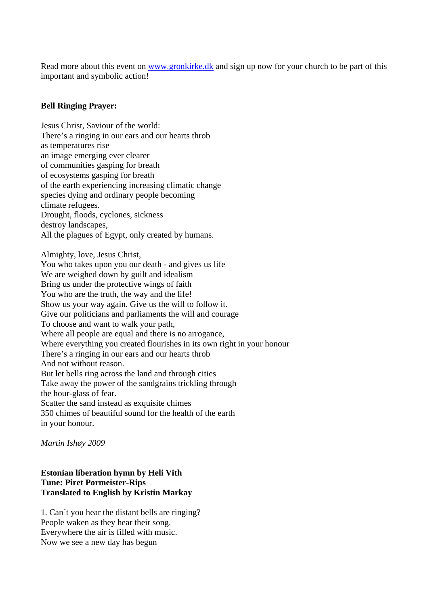Read more about this event on [www.gronkirke.dk](http://www.gronkirke.dk/) and sign up now for your church to be part of this important and symbolic action!

#### **Bell Ringing Prayer:**

Jesus Christ, Saviour of the world: There's a ringing in our ears and our hearts throb as temperatures rise an image emerging ever clearer of communities gasping for breath of ecosystems gasping for breath of the earth experiencing increasing climatic change species dying and ordinary people becoming climate refugees. Drought, floods, cyclones, sickness destroy landscapes, All the plagues of Egypt, only created by humans.

Almighty, love, Jesus Christ,

You who takes upon you our death - and gives us life We are weighed down by guilt and idealism Bring us under the protective wings of faith You who are the truth, the way and the life! Show us your way again. Give us the will to follow it. Give our politicians and parliaments the will and courage To choose and want to walk your path, Where all people are equal and there is no arrogance, Where everything you created flourishes in its own right in your honour There's a ringing in our ears and our hearts throb And not without reason. But let bells ring across the land and through cities Take away the power of the sandgrains trickling through the hour-glass of fear. Scatter the sand instead as exquisite chimes 350 chimes of beautiful sound for the health of the earth in your honour.

*Martin Ishøy 2009* 

#### **Estonian liberation hymn by Heli Vith Tune: Piret Pormeister-Rips Translated to English by Kristin Markay**

1. Can´t you hear the distant bells are ringing? People waken as they hear their song. Everywhere the air is filled with music. Now we see a new day has begun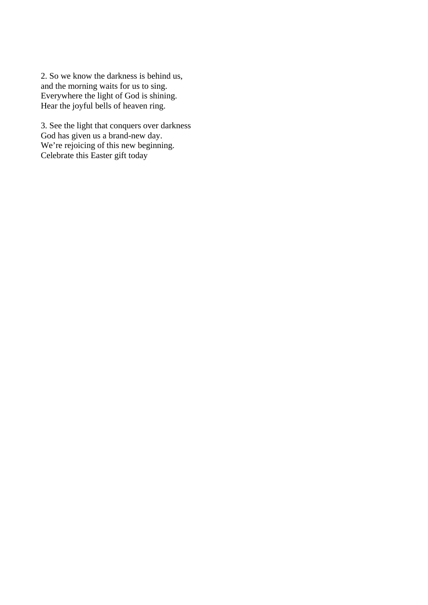2. So we know the darkness is behind us, and the morning waits for us to sing. Everywhere the light of God is shining. Hear the joyful bells of heaven ring.

3. See the light that conquers over darkness God has given us a brand-new day. We're rejoicing of this new beginning. Celebrate this Easter gift today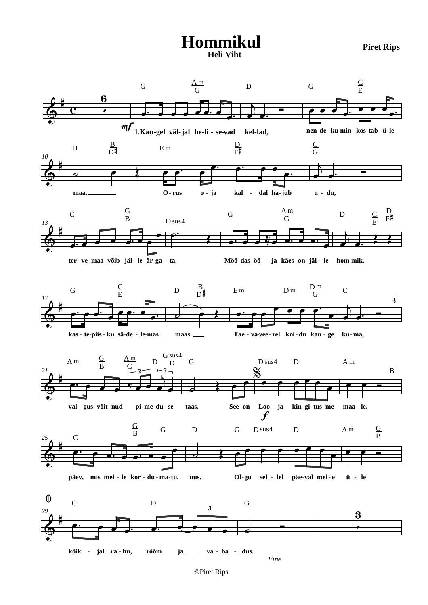# **Hommikul Piret Rips Heli Viht**